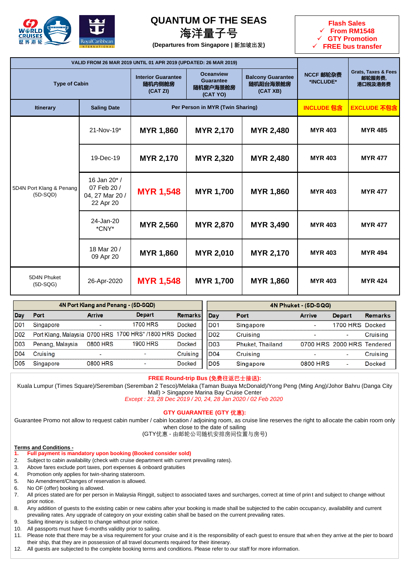

## **QUANTUM OF THE SEAS**

## **海洋量子号**

**(Departures from Singapore | 新加坡出发)**



|                                        | VALID FROM 26 MAR 2019 UNTIL 01 APR 2019 (UPDATED: 26 MAR 2019) |                                                 |                                                              |                                                  |                        |                                                     |
|----------------------------------------|-----------------------------------------------------------------|-------------------------------------------------|--------------------------------------------------------------|--------------------------------------------------|------------------------|-----------------------------------------------------|
| <b>Type of Cabin</b>                   |                                                                 | <b>Interior Guarantee</b><br>随机内侧舱房<br>(CAT ZI) | <b>Oceanview</b><br><b>Guarantee</b><br>随机窗户海景舱房<br>(CAT YO) | <b>Balcony Guarantee</b><br>随机阳台海景舱房<br>(CAT XB) | NCCF 邮轮杂费<br>*INCLUDE* | <b>Grats, Taxes &amp; Fees</b><br>邮轮服务费,<br>港口税及港务费 |
| <b>Itinerary</b>                       | <b>Saling Date</b>                                              |                                                 | Per Person in MYR (Twin Sharing)                             | <b>INCLUDE 包含</b>                                | <b>EXCLUDE 不包含</b>     |                                                     |
| 5D4N Port Klang & Penang<br>$(5D-SQD)$ | $21 - Nov-19*$                                                  | <b>MYR 1,860</b>                                | <b>MYR 2,170</b>                                             | <b>MYR 2,480</b>                                 | <b>MYR 403</b>         | <b>MYR 485</b>                                      |
|                                        | 19-Dec-19                                                       | <b>MYR 2,170</b>                                | <b>MYR 2,320</b>                                             | <b>MYR 2,480</b>                                 | <b>MYR 403</b>         | <b>MYR 477</b>                                      |
|                                        | 16 Jan 20* /<br>07 Feb 20 /<br>04, 27 Mar 20 /<br>22 Apr 20     | <b>MYR 1,548</b>                                | <b>MYR 1,700</b>                                             | <b>MYR 1,860</b>                                 | <b>MYR 403</b>         | <b>MYR 477</b>                                      |
|                                        | 24-Jan-20<br>*CNY*                                              | <b>MYR 2,560</b>                                | <b>MYR 2,870</b>                                             | <b>MYR 3,490</b>                                 | <b>MYR 403</b>         | <b>MYR 477</b>                                      |
|                                        | 18 Mar 20 /<br>09 Apr 20                                        | <b>MYR 1,860</b>                                | <b>MYR 2,010</b>                                             | <b>MYR 2,170</b>                                 | <b>MYR 403</b>         | <b>MYR 494</b>                                      |
| 5D4N Phuket<br>$(5D-SQG)$              | 26-Apr-2020                                                     | <b>MYR 1,548</b>                                | <b>MYR 1,700</b>                                             | <b>MYR 1,860</b>                                 | <b>MYR 403</b>         | <b>MYR 424</b>                                      |

|                 |                  |                          | 4N Port Klang and Penang - (5D-SQD)                      |                |                  |                  |               |                            |                |
|-----------------|------------------|--------------------------|----------------------------------------------------------|----------------|------------------|------------------|---------------|----------------------------|----------------|
| Dav             | Port             | <b>Arrive</b>            | <b>Depart</b>                                            | <b>Remarks</b> | Dav              | Port             | <b>Arrive</b> | Depart                     | <b>Remarks</b> |
| <b>D01</b>      | Singapore        |                          | <b>1700 HRS</b>                                          | <b>Docked</b>  | ID <sub>01</sub> | Singapore        |               | 1700 HRS Docked            |                |
| <b>D02</b>      |                  |                          | Port Klang, Malaysia 0700 HRS 1700 HRS* /1800 HRS Docked |                | D <sub>02</sub>  | Cruising         |               |                            | Cruising       |
| <b>D03</b>      | Penang, Malaysia | 0800 HRS                 | <b>1900 HRS</b>                                          | <b>Docked</b>  | D <sub>03</sub>  | Phuket, Thailand |               | 0700 HRS 2000 HRS Tendered |                |
| <b>D04</b>      | Cruisina         | $\overline{\phantom{a}}$ | -                                                        | Cruising       | <b>D04</b>       | Cruising         |               |                            | Cruising       |
| D <sub>05</sub> | Singapore        | 0800 HRS                 | $\overline{\phantom{a}}$                                 | Docked         | <b>D05</b>       | Singapore        | 0800 HRS      | $\overline{\phantom{a}}$   | Docked         |

### **FREE Round-trip Bus (免费往返巴士接送):**

Kuala Lumpur (Times Square)/Seremban (Seremban 2 Tesco)/Melaka (Taman Buaya McDonald)/Yong Peng (Ming Ang)/Johor Bahru (Danga City Mall) > Singapore Marina Bay Cruise Center

*Except : 23, 28 Dec 2019 / 20, 24, 28 Jan 2020 / 02 Feb 2020*

### **GTY GUARANTEE (GTY 优惠):**

Guarantee Promo not allow to request cabin number / cabin location / adjoining room, as cruise line reserves the right to allocate the cabin room only when close to the date of sailing

(GTY优惠 - 由邮轮公司随机安排房间位置与房号)

#### **Terms and Conditions -**

- **1. Full payment is mandatory upon booking (Booked consider sold)**
- 2. Subject to cabin availability (check with cruise department with current prevailing rates).
- 3. Above fares exclude port taxes, port expenses & onboard gratuities
- 4. Promotion only applies for twin-sharing stateroom.
- 5. No Amendment/Changes of reservation is allowed.
- 6. No OF (offer) booking is allowed.
- 7. All prices stated are for per person in Malaysia Ringgit, subject to associated taxes and surcharges, correct at time of prin t and subject to change without prior notice.
- 8. Any addition of guests to the existing cabin or new cabins after your booking is made shall be subjected to the cabin occupan cy, availability and current prevailing rates. Any upgrade of category on your existing cabin shall be based on the current prevailing rates.
- 9. Sailing itinerary is subject to change without prior notice.
- 10. All passports must have 6-months validity prior to sailing.
- 11. Please note that there may be a visa requirement for your cruise and it is the responsibility of each guest to ensure that wh en they arrive at the pier to board their ship, that they are in possession of all travel documents required for their itinerary.
- 12. All guests are subjected to the complete booking terms and conditions. Please refer to our staff for more information.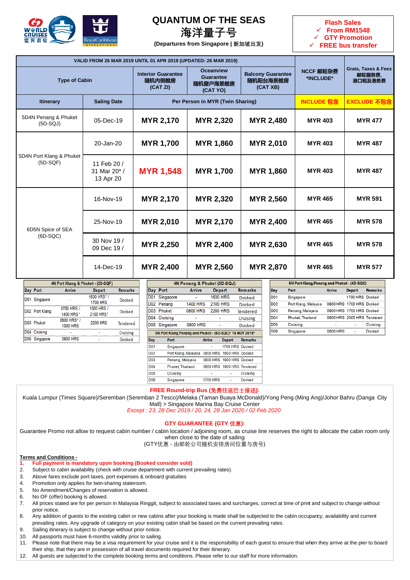

## **QUANTUM OF THE SEAS**

## **海洋量子号**

**(Departures from Singapore | 新加坡出发)**



|                                        |                                         | VALID FROM 26 MAR 2019 UNTIL 01 APR 2019 (UPDATED: 26 MAR 2019) |                                                              |                                                  |                        |                                                     |  |
|----------------------------------------|-----------------------------------------|-----------------------------------------------------------------|--------------------------------------------------------------|--------------------------------------------------|------------------------|-----------------------------------------------------|--|
| <b>Type of Cabin</b>                   |                                         | <b>Interior Guarantee</b><br>随机内侧舱房<br>(CAT ZI)                 | <b>Oceanview</b><br><b>Guarantee</b><br>随机窗户海景舱房<br>(CAT YO) | <b>Balcony Guarantee</b><br>随机阳台海景舱房<br>(CAT XB) | NCCF 邮轮杂费<br>*INCLUDE* | <b>Grats, Taxes &amp; Fees</b><br>邮轮服务费,<br>港口税及港务费 |  |
| <b>Itinerary</b>                       | <b>Saling Date</b>                      |                                                                 | Per Person in MYR (Twin Sharing)                             |                                                  | <b>INCLUDE 包含</b>      | <b>EXCLUDE 不包含</b>                                  |  |
| 5D4N Penang & Phuket<br>$(5D-SQJ)$     | 05-Dec-19                               | <b>MYR 2,170</b>                                                | <b>MYR 2,480</b><br><b>MYR 2,320</b>                         |                                                  | <b>MYR 403</b>         | <b>MYR 477</b>                                      |  |
| 5D4N Port Klang & Phuket<br>$(5D-SQF)$ | 20-Jan-20                               | <b>MYR 1,700</b>                                                | <b>MYR 1,860</b>                                             | <b>MYR 2,010</b>                                 | <b>MYR 403</b>         | <b>MYR 487</b>                                      |  |
|                                        | 11 Feb 20 /<br>31 Mar 20*/<br>13 Apr 20 | <b>MYR 1,548</b>                                                | <b>MYR 1,700</b>                                             | <b>MYR 1,860</b>                                 | <b>MYR 403</b>         | <b>MYR 487</b>                                      |  |
|                                        | 16-Nov-19                               | <b>MYR 2,170</b>                                                | <b>MYR 2,320</b>                                             | <b>MYR 2,560</b>                                 | <b>MYR 465</b>         | <b>MYR 591</b>                                      |  |
| 6D5N Spice of SEA<br>$(6D-SQC)$        | 25-Nov-19                               | <b>MYR 2,010</b>                                                | <b>MYR 2,170</b>                                             | <b>MYR 2,400</b>                                 | <b>MYR 465</b>         | <b>MYR 578</b>                                      |  |
|                                        | 30 Nov 19 /<br>09 Dec 19 /              | <b>MYR 2,250</b>                                                | <b>MYR 2,400</b>                                             | <b>MYR 2,630</b>                                 | <b>MYR 465</b>         | <b>MYR 578</b>                                      |  |
|                                        | 14-Dec-19                               | <b>MYR 2,400</b>                                                | <b>MYR 2,560</b>                                             | <b>MYR 2,870</b>                                 | <b>MYR 465</b>         | <b>MYR 577</b>                                      |  |

| 4N Port Klang & Phuket - (5D-SQF) |                |                               |                               |                 |  |  |  |  |  |
|-----------------------------------|----------------|-------------------------------|-------------------------------|-----------------|--|--|--|--|--|
|                                   | Day Port       | Arrive                        | <b>Depart</b>                 | <b>Remarks</b>  |  |  |  |  |  |
| D <sub>01</sub>                   | Singapore      |                               | 1630 HRS*/<br><b>1700 HRS</b> | <b>Docked</b>   |  |  |  |  |  |
|                                   | D02 Port Klang | 0700 HRS /<br>1400 HRS*       | 1500 HRS /<br>2100 HRS*       | <b>Docked</b>   |  |  |  |  |  |
|                                   | D03 Phuket     | 0800 HRS*/<br><b>1000 HRS</b> | <b>2200 HRS</b>               | <b>Tendered</b> |  |  |  |  |  |
| <b>D04</b>                        | Cruising       |                               |                               | Cruising        |  |  |  |  |  |
|                                   | D05 Singapore  | 0800 HRS                      |                               | <b>Docked</b>   |  |  |  |  |  |

|                 |                                                           | 4N Penang & Phuket (5D-SQJ) |               |                 |                            |                |
|-----------------|-----------------------------------------------------------|-----------------------------|---------------|-----------------|----------------------------|----------------|
| Day             | Port                                                      | <b>Arrive</b>               |               | <b>Depart</b>   |                            | <b>Remarks</b> |
| D <sub>01</sub> | Singapore                                                 |                             |               | <b>1630 HRS</b> |                            | Docked         |
| D <sub>02</sub> | Penang                                                    | <b>1400 HRS</b>             |               | <b>2100 HRS</b> |                            | <b>Docked</b>  |
| D <sub>03</sub> | Phuket                                                    | <b>0800 HRS</b>             |               | <b>2200 HRS</b> |                            | Tendered       |
| D <sub>04</sub> | Cruising                                                  |                             |               |                 |                            | Cruising       |
| D <sub>05</sub> | Singapore                                                 | <b>0800 HRS</b>             |               |                 |                            | Docked         |
|                 | 5N Port Klang, Penang and Phuket - (6D-SQC)* 16 NOV 2019* |                             |               |                 |                            |                |
| Day             | Port                                                      |                             | <b>Arrive</b> |                 | <b>Depart</b>              | <b>Remarks</b> |
| D <sub>01</sub> | Singapore                                                 |                             |               |                 | 1700 HRS Docked            |                |
| D <sub>02</sub> | Port Klang, Malaysia                                      |                             |               | 0800 HRS        | 1800 HRS Docked            |                |
| D <sub>03</sub> | Penang, Malaysia                                          |                             |               | 0800 HRS        | 1900 HRS Docked            |                |
| D04             | Phuket Thailand                                           |                             |               |                 | 0800 HRS 1900 HRS Tendered |                |
| D <sub>05</sub> | Cruising                                                  |                             |               |                 |                            | Cruising       |
| D06             | Singapore                                                 |                             |               | 0700 HRS        |                            | Docked         |

|                 | 5N Port Klang, Penang and Phuket - (6D-SQC) |                          |                            |                |  |  |  |  |  |  |  |  |
|-----------------|---------------------------------------------|--------------------------|----------------------------|----------------|--|--|--|--|--|--|--|--|
| Day             | Port                                        | <b>Arrive</b>            | Depart                     | <b>Remarks</b> |  |  |  |  |  |  |  |  |
| <b>D01</b>      | Singapore                                   | $\overline{\phantom{a}}$ | 1700 HRS Docked            |                |  |  |  |  |  |  |  |  |
| <b>D02</b>      | Port Klang, Malaysia                        |                          | 0800 HRS 1700 HRS Docked   |                |  |  |  |  |  |  |  |  |
| <b>D03</b>      | Penang, Malaysia                            |                          | 0800 HRS 1700 HRS Docked   |                |  |  |  |  |  |  |  |  |
| D04             | Phuket, Thailand                            |                          | 0800 HRS 2000 HRS Tendered |                |  |  |  |  |  |  |  |  |
| D <sub>05</sub> | Cruising                                    |                          |                            | Cruisina       |  |  |  |  |  |  |  |  |
| <b>D06</b>      | Singapore                                   | 0800 HRS                 | ۰                          | Docked         |  |  |  |  |  |  |  |  |

## **FREE Round-trip Bus (免费往返巴士接送):**

Kuala Lumpur (Times Square)/Seremban (Seremban 2 Tesco)/Melaka (Taman Buaya McDonald)/Yong Peng (Ming Ang)/Johor Bahru (Danga City Mall) > Singapore Marina Bay Cruise Center

*Except : 23, 28 Dec 2019 / 20, 24, 28 Jan 2020 / 02 Feb 2020*

### **GTY GUARANTEE (GTY 优惠):**

Guarantee Promo not allow to request cabin number / cabin location / adjoining room, as cruise line reserves the right to allocate the cabin room only when close to the date of sailing

(GTY优惠 - 由邮轮公司随机安排房间位置与房号)

#### **Terms and Conditions -**

- **1. Full payment is mandatory upon booking (Booked consider sold)**
- 2. Subject to cabin availability (check with cruise department with current prevailing rates).
- 3. Above fares exclude port taxes, port expenses & onboard gratuities
- 4. Promotion only applies for twin-sharing stateroom.
- 5. No Amendment/Changes of reservation is allowed.
- 6. No OF (offer) booking is allowed.
- 7. All prices stated are for per person in Malaysia Ringgit, subject to associated taxes and surcharges, correct at time of print and subject to change without prior notice.
- 8. Any addition of guests to the existing cabin or new cabins after your booking is made shall be subjected to the cabin occupancy, availability and current prevailing rates. Any upgrade of category on your existing cabin shall be based on the current prevailing rates.
- 9. Sailing itinerary is subject to change without prior notice.
- 10. All passports must have 6-months validity prior to sailing.
- 11. Please note that there may be a visa requirement for your cruise and it is the responsibility of each guest to ensure that when they arrive at the pier to board their ship, that they are in possession of all travel documents required for their itinerary.
- 12. All guests are subjected to the complete booking terms and conditions. Please refer to our staff for more information.